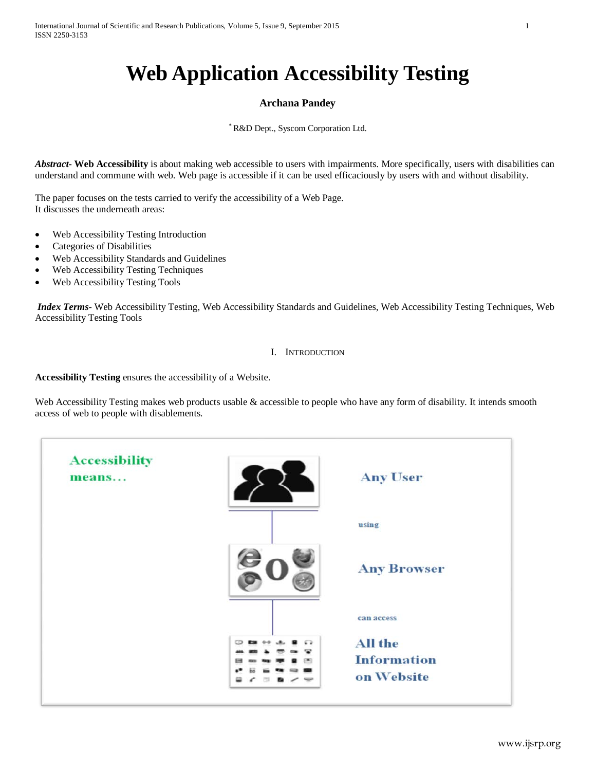# **Web Application Accessibility Testing**

# **Archana Pandey**

\* R&D Dept., Syscom Corporation Ltd.

*Abstract***- Web Accessibility** is about making web accessible to users with impairments. More specifically, users with disabilities can understand and commune with web. Web page is accessible if it can be used efficaciously by users with and without disability.

The paper focuses on the tests carried to verify the accessibility of a Web Page. It discusses the underneath areas:

- Web Accessibility Testing Introduction
- Categories of Disabilities
- Web Accessibility Standards and Guidelines
- Web Accessibility Testing Techniques
- Web Accessibility Testing Tools

*Index Terms*- Web Accessibility Testing, Web Accessibility Standards and Guidelines, Web Accessibility Testing Techniques, Web Accessibility Testing Tools

# I. INTRODUCTION

**Accessibility Testing** ensures the accessibility of a Website.

Web Accessibility Testing makes web products usable & accessible to people who have any form of disability. It intends smooth access of web to people with disablements.

| <b>Accessibility</b><br>means |            | <b>Any User</b>    |
|-------------------------------|------------|--------------------|
|                               |            | using              |
|                               |            | <b>Any Browser</b> |
|                               |            | can access         |
|                               | $\sqrt{2}$ | All the            |
|                               |            | <b>Information</b> |
|                               |            |                    |
|                               |            | on Website         |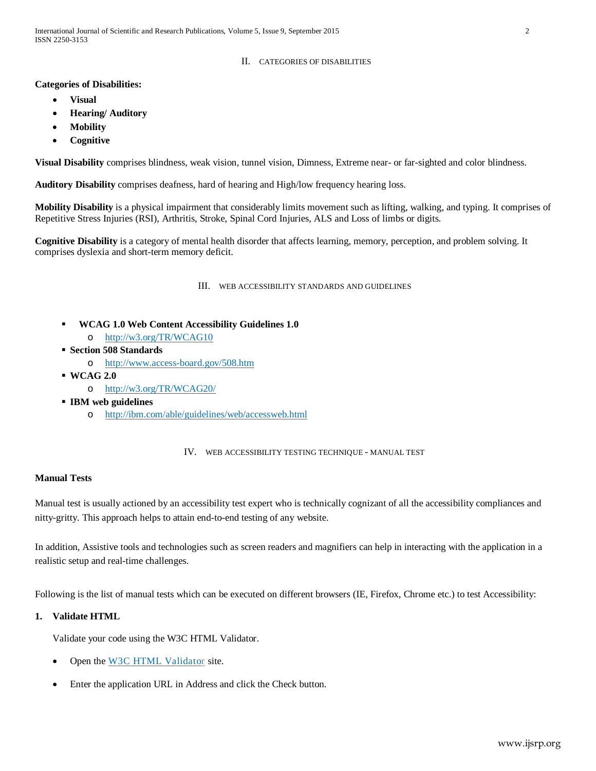# II. CATEGORIES OF DISABILITIES

## **Categories of Disabilities:**

- **Visual**
- **Hearing/ Auditory**
- **Mobility**
- **Cognitive**

**Visual Disability** comprises blindness, weak vision, tunnel vision, Dimness, Extreme near- or far-sighted and color blindness.

**Auditory Disability** comprises deafness, hard of hearing and High/low frequency hearing loss.

**Mobility Disability** is a physical impairment that considerably limits movement such as lifting, walking, and typing. It comprises of Repetitive Stress Injuries (RSI), Arthritis, Stroke, Spinal Cord Injuries, ALS and Loss of limbs or digits.

**Cognitive Disability** is a category of [mental health disorder](http://en.wikipedia.org/wiki/Mental_health_disorders) that affects learning, memory, perception, and problem solving. It comprises dyslexia and short-term memory deficit.

## III. WEB ACCESSIBILITY STANDARDS AND GUIDELINES

- **WCAG 1.0 Web Content Accessibility Guidelines 1.0**  o <http://w3.org/TR/WCAG10>
- **Section 508 Standards**
	- o <http://www.access-board.gov/508.htm>
- **WCAG 2.0**
	- o <http://w3.org/TR/WCAG20/>
- **IBM web guidelines**
	- o <http://ibm.com/able/guidelines/web/accessweb.html>

IV. WEB ACCESSIBILITY TESTING TECHNIQUE - MANUAL TEST

# **Manual Tests**

Manual test is usually actioned by an accessibility test expert who is technically cognizant of all the accessibility compliances and nitty-gritty. This approach helps to attain end-to-end testing of any website.

In addition, [Assistive tools and technologies](http://www.disabled-world.com/assistivedevices/computer/) such as screen readers and magnifiers can help in interacting with the application in a realistic setup and real-time challenges.

Following is the list of manual tests which can be executed on different browsers (IE, Firefox, Chrome etc.) to test Accessibility:

# **1. Validate HTML**

Validate your code using the W3C HTML Validator.

- Open the [W3C HTML Validator](http://validator.w3.org/) site.
- Enter the application URL in Address and click the Check button.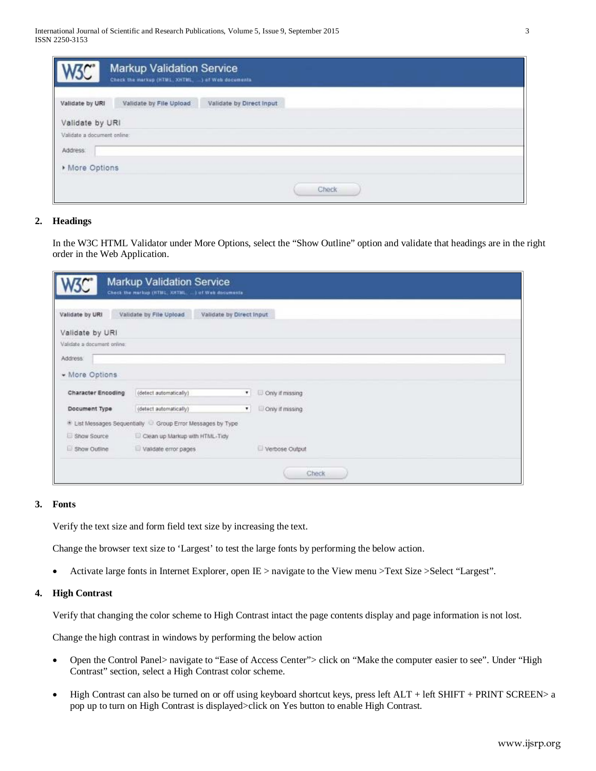International Journal of Scientific and Research Publications, Volume 5, Issue 9, September 2015 3 ISSN 2250-3153

| VSU                         | <b>Markup Validation Service</b><br>Check the markup (HTML, XHTML, ) of Web documents |                          |              |
|-----------------------------|---------------------------------------------------------------------------------------|--------------------------|--------------|
| Validate by URI             | Validate by File Upload                                                               | Validate by Direct Input |              |
| Validate by URI             |                                                                                       |                          |              |
| Validate a document online: |                                                                                       |                          |              |
| Address:                    |                                                                                       |                          |              |
| More Options                |                                                                                       |                          |              |
|                             |                                                                                       |                          | <b>Check</b> |

## **2. Headings**

In the W3C HTML Validator under More Options, select the "Show Outline" option and validate that headings are in the right order in the Web Application.

|                                                           | <b>Markup Validation Service</b><br>Check the markup (HTML, XHTML, ) of Web documents |                 |
|-----------------------------------------------------------|---------------------------------------------------------------------------------------|-----------------|
| Validate by URI<br>Validate by URI                        | Validate by File Upload<br>Validate by Direct Input                                   |                 |
| Validate a document online:<br>Address:<br>+ More Options |                                                                                       |                 |
| <b>Character Encoding</b>                                 | (detect automatically)<br>$+1$                                                        | Only if missing |
| Document Type                                             | (detect automatically)<br>$\mathbf{r}$                                                | Only if missing |
|                                                           | * List Messages Sequentially Group Error Messages by Type                             |                 |
| Show Source                                               | Clean up Markup with HTML-Tidy                                                        |                 |
| Show Outline                                              | Validate error pages                                                                  | Verbose Output  |
|                                                           |                                                                                       | Check           |

#### **3. Fonts**

Verify the text size and form field text size by increasing the text.

Change the browser text size to 'Largest' to test the large fonts by performing the below action.

• Activate large fonts in Internet Explorer, open IE > navigate to the View menu >Text Size >Select "Largest".

#### **4. High Contrast**

Verify that changing the color scheme to High Contrast intact the page contents display and page information is not lost.

Change the high contrast in windows by performing the below action

- Open the Control Panel> navigate to "Ease of Access Center"> click on "Make the computer easier to see". Under "High Contrast" section, select a High Contrast color scheme.
- High Contrast can also be turned on or off using keyboard shortcut keys, press left ALT + left SHIFT + PRINT SCREEN> a pop up to turn on High Contrast is displayed>click on Yes button to enable High Contrast.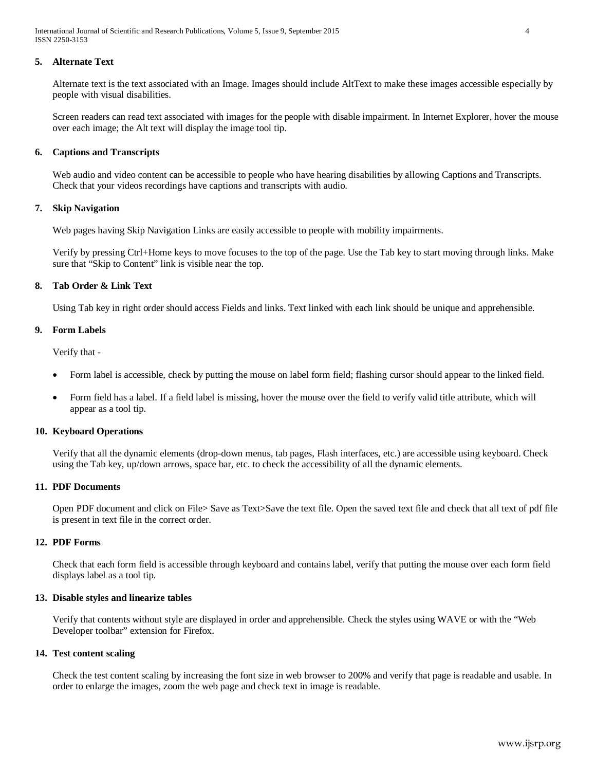International Journal of Scientific and Research Publications, Volume 5, Issue 9, September 2015 4 ISSN 2250-3153

## **5. Alternate Text**

Alternate text is the text associated with an Image. Images should include AltText to make these images accessible especially by people with visual disabilities.

Screen readers can read text associated with images for the people with disable impairment. In Internet Explorer, hover the mouse over each image; the Alt text will display the image tool tip.

#### **6. Captions and Transcripts**

Web audio and video content can be accessible to people who have hearing disabilities by allowing Captions and Transcripts. Check that your videos recordings have captions and transcripts with audio.

#### **7. Skip Navigation**

Web pages having Skip Navigation Links are easily accessible to people with mobility impairments.

Verify by pressing Ctrl+Home keys to move focuses to the top of the page. Use the Tab key to start moving through links. Make sure that "Skip to Content" link is visible near the top.

## **8. Tab Order & Link Text**

Using Tab key in right order should access Fields and links. Text linked with each link should be unique and apprehensible.

#### **9. Form Labels**

Verify that -

- Form label is accessible, check by putting the mouse on label form field; flashing cursor should appear to the linked field.
- Form field has a label. If a field label is missing, hover the mouse over the field to verify valid title attribute, which will appear as a tool tip.

#### **10. Keyboard Operations**

Verify that all the dynamic elements (drop-down menus, tab pages, Flash interfaces, etc.) are accessible using keyboard. Check using the Tab key, up/down arrows, space bar, etc. to check the accessibility of all the dynamic elements.

## **11. PDF Documents**

Open PDF document and click on File> Save as Text>Save the text file. Open the saved text file and check that all text of pdf file is present in text file in the correct order.

#### **12. PDF Forms**

Check that each form field is accessible through keyboard and contains label, verify that putting the mouse over each form field displays label as a tool tip.

#### **13. Disable styles and linearize tables**

Verify that contents without style are displayed in order and apprehensible. Check the styles using WAVE or with the "Web Developer toolbar" extension for Firefox.

#### **14. Test content scaling**

Check the test content scaling by increasing the font size in web browser to 200% and verify that page is readable and usable. In order to enlarge the images, zoom the web page and check text in image is readable.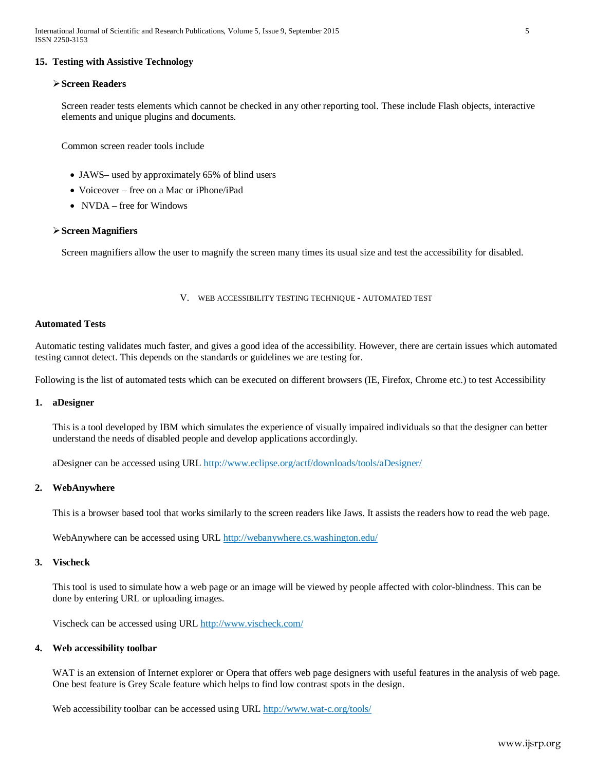International Journal of Scientific and Research Publications, Volume 5, Issue 9, September 2015 5 ISSN 2250-3153

## **15. Testing with Assistive Technology**

#### **Screen Readers**

Screen reader tests elements which cannot be checked in any other reporting tool. These include Flash objects, interactive elements and unique plugins and documents.

Common screen reader tools include

- JAWS– used by approximately 65% of blind users
- Voiceover free on a Mac or iPhone/iPad
- NVDA free for Windows

#### **Screen Magnifiers**

Screen magnifiers allow the user to magnify the screen many times its usual size and test the accessibility for disabled.

#### V. WEB ACCESSIBILITY TESTING TECHNIQUE - AUTOMATED TEST

#### **Automated Tests**

Automatic testing validates much faster, and gives a good idea of the accessibility. However, there are certain issues which automated testing cannot detect. This depends on the standards or guidelines we are testing for.

Following is the list of automated tests which can be executed on different browsers (IE, Firefox, Chrome etc.) to test Accessibility

#### **1. [aDesigner](http://www.eclipse.org/actf/downloads/tools/aDesigner/)**

This is a tool developed by IBM which simulates the experience of visually impaired individuals so that the designer can better understand the needs of disabled people and develop applications accordingly.

aDesigner can be accessed using URL<http://www.eclipse.org/actf/downloads/tools/aDesigner/>

## **2. [WebAnywhere](http://webanywhere.cs.washington.edu/)**

This is a browser based tool that works similarly to the screen readers like Jaws. It assists the readers how to read the web page.

WebAnywhere can be accessed using URL<http://webanywhere.cs.washington.edu/>

#### **3. [Vischeck](http://www.vischeck.com/)**

This tool is used to simulate how a web page or an image will be viewed by people affected with color-blindness. This can be done by entering URL or uploading images.

Vischeck can be accessed using URL<http://www.vischeck.com/>

## **4. [Web accessibility toolbar](http://www.wat-c.org/tools/)**

WAT is an extension of Internet explorer or Opera that offers web page designers with useful features in the analysis of web page. One best feature is Grey Scale feature which helps to find low contrast spots in the design.

Web accessibility toolbar can be accessed using UR[L http://www.wat-c.org/tools/](http://www.wat-c.org/tools/)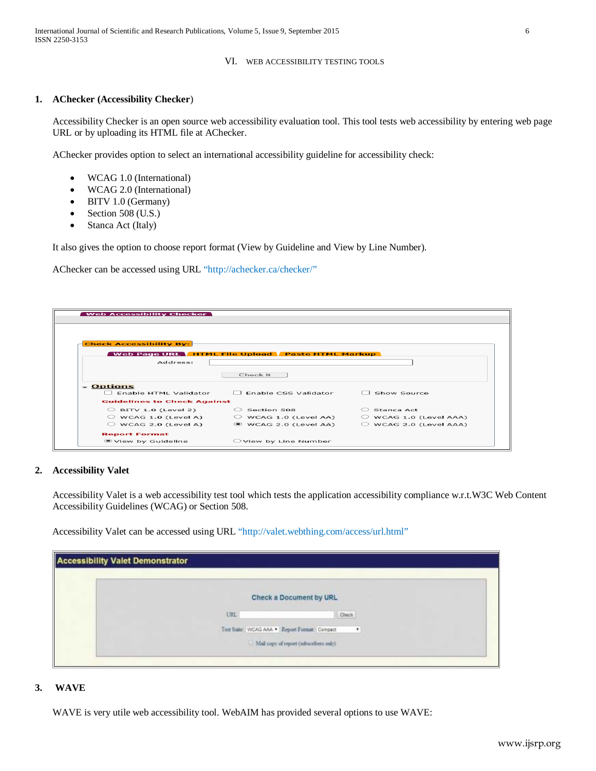#### VI. WEB ACCESSIBILITY TESTING TOOLS

## **1. AChecker (Accessibility Checker**)

Accessibility Checker is an open source web accessibility evaluation tool. This tool tests web accessibility by entering web page URL or by uploading its HTML file at AChecker.

AChecker provides option to select an international accessibility guideline for accessibility check:

- WCAG 1.0 (International)
- WCAG 2.0 (International)
- BITV 1.0 (Germany)
- Section 508 (U.S.)
- Stanca Act (Italy)

It also gives the option to choose report format (View by Guideline and View by Line Number).

AChecker can be accessed using URL ["http://achecker.ca/checker/"](http://achecker.ca/checker/)

| <b>Check Accessibility By:</b>         |                                                 |                              |
|----------------------------------------|-------------------------------------------------|------------------------------|
|                                        | Web Page URL HTML File Upload Paste HTML Markup |                              |
| Address:                               |                                                 |                              |
|                                        | Check It                                        |                              |
|                                        |                                                 |                              |
| $\sim$ Options                         |                                                 |                              |
| Enable HTML Validator                  | $\Box$ Enable CSS Validator                     | Show Source                  |
| <b>Guidelines to Check Against</b>     |                                                 |                              |
| $\circ$ BITV 1.0 (Level 2)             | Section 508                                     | Stanca Act<br>$\bigcirc$     |
| $\circlearrowright$ WCAG 1.0 (Level A) | $\circlearrowright$ WCAG 1.0 (Level AA)         | $\circ$ WCAG 1.0 (Level AAA) |
| $\circlearrowright$ WCAG 2.0 (Level A) | $\odot$ WCAG 2.0 (Level AA)                     | WCAG 2.0 (Level AAA)         |
| <b>Report Format</b>                   |                                                 |                              |
|                                        |                                                 |                              |

## **2. Accessibility Valet**

Accessibility Valet is a web accessibility test tool which tests the application accessibility compliance w.r.t.W3C Web Content Accessibility Guidelines (WCAG) or Section 508.

Accessibility Valet can be accessed using URL ["http://valet.webthing.com/access/url.html"](http://valet.webthing.com/access/url.html)

| <b>Accessibility Valet Demonstrator</b> |     |                                                    |  |
|-----------------------------------------|-----|----------------------------------------------------|--|
|                                         |     | Check a Document by URL                            |  |
|                                         | URL | Check                                              |  |
|                                         |     | Test Suite: WCAG AAA . Report Format: Compact<br>٠ |  |
|                                         |     | Mail copy of report (subscribers only)             |  |
|                                         |     |                                                    |  |

## **3. WAVE**

WAVE is very utile web accessibility tool. WebAIM has provided several options to use WAVE: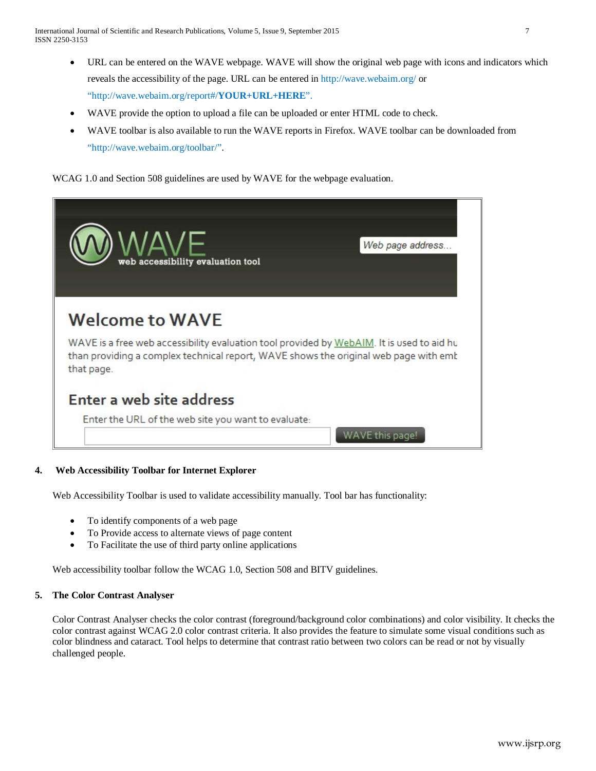- URL can be entered on the WAVE webpage. WAVE will show the original web page with icons and indicators which reveals the accessibility of the page. URL can be entered in<http://wave.webaim.org/> or ["http://wave.webaim.org/report#/](http://wave.webaim.org/report#/)**YOUR+URL+HERE**".
- WAVE provide the option to upload a file can be uploaded or enter HTML code to check.
- WAVE toolbar is also available to run the WAVE reports in Firefox. WAVE toolbar can be downloaded from ["http://wave.webaim.org/toolbar/"](http://wave.webaim.org/toolbar/).

WCAG 1.0 and Section 508 guidelines are used by WAVE for the webpage evaluation.



# **4. Web Accessibility Toolbar for Internet Explorer**

Web Accessibility Toolbar is used to validate accessibility manually. Tool bar has functionality:

- To identify components of a web page
- To Provide access to alternate views of page content
- To Facilitate the use of third party online applications

Web accessibility toolbar follow the WCAG 1.0, Section 508 and BITV guidelines.

## **5. The Color Contrast Analyser**

Color Contrast Analyser checks the color contrast (foreground/background color combinations) and color visibility. It checks the color contrast against [WCAG](http://www.w3.org/TR/WCAG20/) 2.0 color contrast criteria. It also provides the feature to simulate some visual conditions such as color blindness and cataract. Tool helps to determine that contrast ratio between two colors can be read or not by visually challenged people.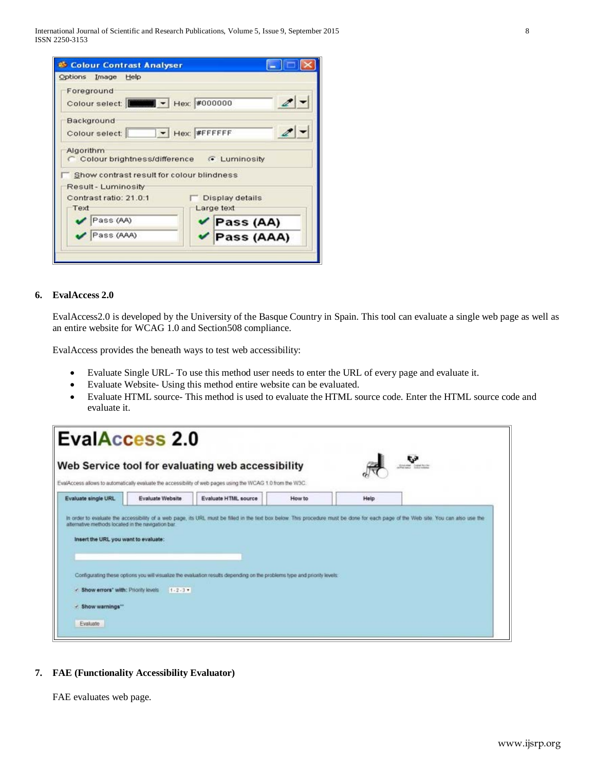International Journal of Scientific and Research Publications, Volume 5, Issue 9, September 2015 8 ISSN 2250-3153

| Colour Contrast Analyser                                         |                                           |
|------------------------------------------------------------------|-------------------------------------------|
| <b>Options</b><br>Image Help                                     |                                           |
| Foreground<br>Colour select: <b>[MANAGEREER]</b> - Hex: #000000  |                                           |
| Background                                                       |                                           |
| Colour select:                                                   | $\blacktriangleright$ Hex <b>#FFFFFFF</b> |
| Show contrast result for colour blindness<br>Result - Luminosity |                                           |
| Contrast ratio: 21.0:1                                           | Display details                           |
| Text                                                             | Large text                                |
| Pass (AA)                                                        | $\triangledown$ Pass (AA)                 |
| Pass (AAA)                                                       | Pass (AAA)                                |
|                                                                  |                                           |

# **6. EvalAccess 2.0**

EvalAccess2.0 is developed by the University of the Basque Country in Spain. This tool can evaluate a single web page as well as an entire website for WCAG 1.0 and Section508 compliance.

EvalAccess provides the beneath ways to test web accessibility:

- Evaluate Single URL- To use this method user needs to enter the URL of every page and evaluate it.
- Evaluate Website- Using this method entire website can be evaluated.
- Evaluate HTML source- This method is used to evaluate the HTML source code. Enter the HTML source code and evaluate it.



## **7. FAE (Functionality Accessibility Evaluator)**

FAE evaluates web page.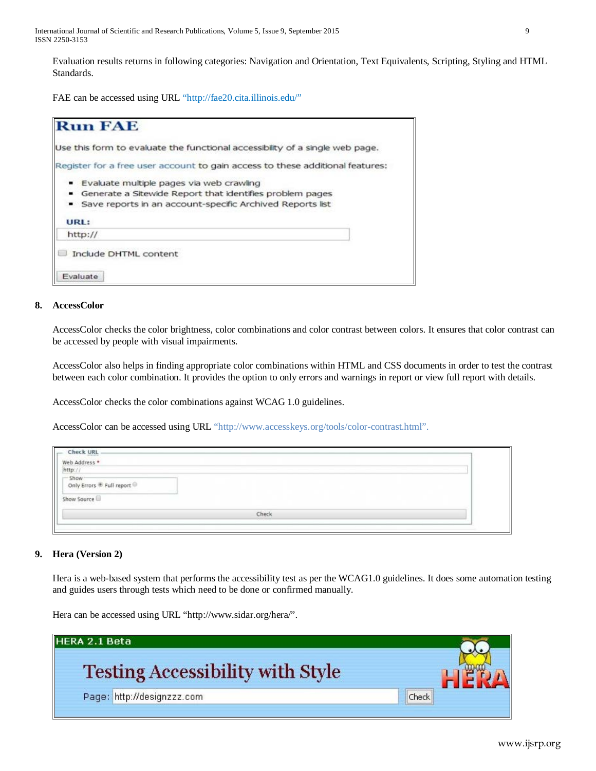International Journal of Scientific and Research Publications, Volume 5, Issue 9, September 2015 9 ISSN 2250-3153

Evaluation results returns in following categories: Navigation and Orientation, Text Equivalents, Scripting, Styling and HTML Standards.

FAE can be accessed using URL ["http://fae20.cita.illinois.edu/"](http://fae20.cita.illinois.edu/)

| <b>Run FAE</b>                                                                |  |
|-------------------------------------------------------------------------------|--|
| Use this form to evaluate the functional accessibility of a single web page.  |  |
| Register for a free user account to gain access to these additional features: |  |
| Evaluate multiple pages via web crawling                                      |  |
| Generate a Sitewide Report that identifies problem pages                      |  |
| Save reports in an account-specific Archived Reports list                     |  |
| URL:                                                                          |  |
| http://                                                                       |  |
| Include DHTML content<br>Evaluate                                             |  |

#### **8. AccessColor**

AccessColor checks the color brightness, color combinations and color contrast between colors. It ensures that color contrast can be accessed by people with visual impairments.

AccessColor also helps in finding appropriate color combinations within HTML and CSS documents in order to test the contrast between each color combination. It provides the option to only errors and warnings in report or view full report with details.

AccessColor checks the color combinations against WCAG 1.0 guidelines.

AccessColor can be accessed using URL ["http://www.accesskeys.org/tools/color-contrast.html"](http://www.accesskeys.org/tools/color-contrast.html).

| Check URL                         |       |  |
|-----------------------------------|-------|--|
| Web Address *<br>http://          |       |  |
|                                   |       |  |
| Show<br>Only Errors ® Full report |       |  |
| Show Source                       |       |  |
|                                   | Check |  |
|                                   |       |  |

## **9. Hera (Version 2)**

Hera is a web-based system that performs the accessibility test as per the WCAG1.0 guidelines. It does some automation testing and guides users through tests which need to be done or confirmed manually.

Hera can be accessed using URL ["http://www.sidar.org/hera/"](http://www.sidar.org/hera/).

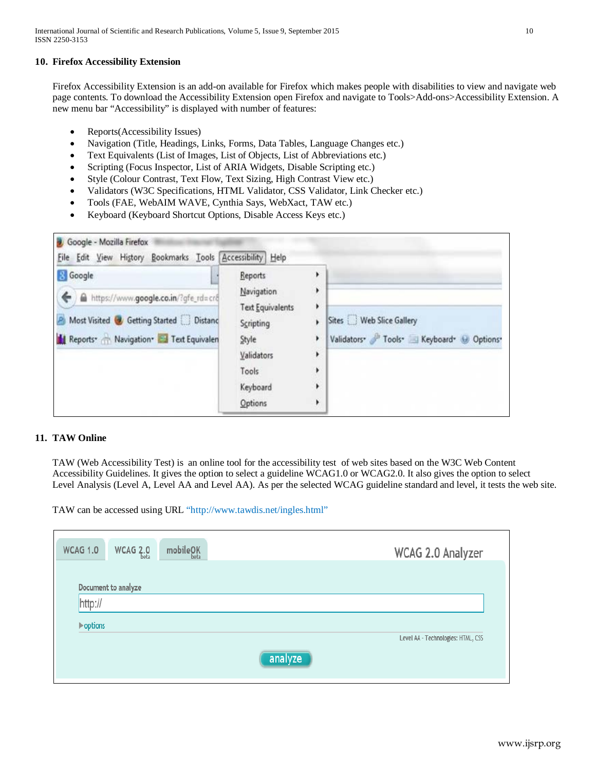## **10. Firefox Accessibility Extension**

Firefox Accessibility Extension is an add-on available for Firefox which makes people with disabilities to view and navigate web page contents. To download the Accessibility Extension open Firefox and navigate to Tools>Add-ons>Accessibility Extension. A new menu bar "Accessibility" is displayed with number of features:

- Reports(Accessibility Issues)
- Navigation (Title, Headings, Links, Forms, Data Tables, Language Changes etc.)
- Text Equivalents (List of Images, List of Objects, List of Abbreviations etc.)
- Scripting (Focus Inspector, List of ARIA Widgets, Disable Scripting etc.)
- Style (Colour Contrast, Text Flow, Text Sizing, High Contrast View etc.)
- Validators (W3C Specifications, HTML Validator, CSS Validator, Link Checker etc.)
- Tools (FAE, WebAIM WAVE, Cynthia Says, WebXact, TAW etc.)
- Keyboard (Keyboard Shortcut Options, Disable Access Keys etc.)

| <b>S</b> Google<br>A https://www.google.co.in/?gfe_rd=cr&   | Reports<br><b>Navigation</b><br><b>Text Equivalents</b> | ٠<br>٠<br>٠                                 |
|-------------------------------------------------------------|---------------------------------------------------------|---------------------------------------------|
| <b>P</b> Most Visited <b>&amp;</b> Getting Started Distance | Scripting                                               | Sites Web Slice Gallery                     |
| Reports Navigation Text Equivalen                           | Style<br>Validators                                     | Validators Tools Keyboard Options<br>٠<br>٠ |
|                                                             | Tools                                                   | ۲                                           |
|                                                             | Keyboard                                                | ١                                           |
|                                                             | Options                                                 | ٠                                           |

## **11. TAW Online**

TAW (Web Accessibility Test) is an online tool for the accessibility test of web sites based on the W3C Web Content Accessibility Guidelines. It gives the option to select a guideline WCAG1.0 or WCAG2.0. It also gives the option to select Level Analysis (Level A, Level AA and Level AA). As per the selected WCAG guideline standard and level, it tests the web site.

TAW can be accessed using URL "http://www.tawdis.net/ingles.html"

| <b>WCAG 1.0</b>          | WCAG 2.0            | $\mathsf{mobileQK}_{\mathsf{beta}}$ | WCAG 2.0 Analyzer                  |
|--------------------------|---------------------|-------------------------------------|------------------------------------|
|                          | Document to analyze |                                     |                                    |
| http://                  |                     |                                     |                                    |
| $\triangleright$ options |                     |                                     | Level AA - Technologies: HTML, CSS |
|                          |                     |                                     | analyze                            |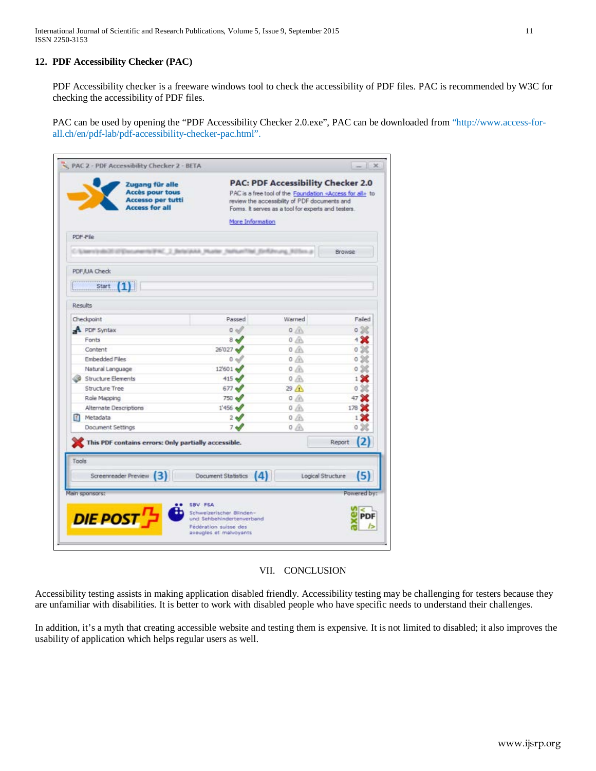# **12. PDF Accessibility Checker (PAC)**

PDF Accessibility checker is a freeware windows tool to check the accessibility of PDF files. PAC is recommended by W3C for checking the accessibility of PDF files.

PAC can be used by opening the "PDF Accessibility Checker 2.0.exe", PAC can be downloaded from ["http://www.access-for](http://www.access-for-all.ch/en/pdf-lab/pdf-accessibility-checker-pac.html)[all.ch/en/pdf-lab/pdf-accessibility-checker-pac.html"](http://www.access-for-all.ch/en/pdf-lab/pdf-accessibility-checker-pac.html).

| Zugang für alle<br><b>Accès pour tous</b><br><b>Accesso per tutti</b><br><b>Access for all</b> |                                                                     | <b>PAC: PDF Accessibility Checker 2.0</b><br>PAC is a free tool of the Foundation «Access for all» to<br>review the accessibility of PDF documents and<br>Forms. It serves as a tool for experts and testers. |                          |
|------------------------------------------------------------------------------------------------|---------------------------------------------------------------------|---------------------------------------------------------------------------------------------------------------------------------------------------------------------------------------------------------------|--------------------------|
|                                                                                                | More Information                                                    |                                                                                                                                                                                                               |                          |
| PDF-File                                                                                       |                                                                     |                                                                                                                                                                                                               |                          |
|                                                                                                | m/PHC, 2. Bela/JAAA, Mualar, Inaflue/That, Earlistrung, Killison, p |                                                                                                                                                                                                               | Browse                   |
|                                                                                                |                                                                     |                                                                                                                                                                                                               |                          |
| PDF/UA Check                                                                                   |                                                                     |                                                                                                                                                                                                               |                          |
| Start $(1)$                                                                                    |                                                                     |                                                                                                                                                                                                               |                          |
|                                                                                                |                                                                     |                                                                                                                                                                                                               |                          |
| Results                                                                                        |                                                                     |                                                                                                                                                                                                               |                          |
| Checkpoint                                                                                     | Passed                                                              | Warned                                                                                                                                                                                                        | Failed                   |
| <b>A</b> PDF Syntax                                                                            | 0 <sup>0</sup>                                                      | $0$ $\Lambda$                                                                                                                                                                                                 | 0.28                     |
| Fonts                                                                                          | $8 -$                                                               | 0/6                                                                                                                                                                                                           | 43                       |
| Content                                                                                        | 26'027                                                              | $0$ $(A)$                                                                                                                                                                                                     | 0.38                     |
| <b>Embedded Files</b>                                                                          | 0 <sup>0</sup>                                                      | $0 \land$                                                                                                                                                                                                     | O                        |
| Natural Language                                                                               | 12'601                                                              | 0/A                                                                                                                                                                                                           | 0                        |
| <b>Structure Elements</b>                                                                      | $415$ $\frac{1}{2}$                                                 | $0$ $4$                                                                                                                                                                                                       | 1                        |
| Structure Tree                                                                                 | $677 \sqrt{}$                                                       | $29 \sqrt{1}$                                                                                                                                                                                                 | 0                        |
| Role Mapping                                                                                   | 750 M                                                               | $0$ $(A)$                                                                                                                                                                                                     | 47                       |
| Alternate Descriptions                                                                         | 1'456                                                               | 0/3                                                                                                                                                                                                           | 178                      |
| Metadata                                                                                       | 2 <sub>0</sub>                                                      | $0$ $AB$                                                                                                                                                                                                      | 1                        |
| Document Settings                                                                              | $7 -$                                                               | 0.41                                                                                                                                                                                                          | 0                        |
| This PDF contains errors: Only partially accessible.                                           |                                                                     |                                                                                                                                                                                                               | Report                   |
| Tools                                                                                          |                                                                     |                                                                                                                                                                                                               |                          |
|                                                                                                |                                                                     |                                                                                                                                                                                                               |                          |
| Screenreader Preview<br>(3)                                                                    | (4)<br><b>Document Statistics</b>                                   |                                                                                                                                                                                                               | (5)<br>Logical Structure |
|                                                                                                |                                                                     |                                                                                                                                                                                                               |                          |
| Main sponsors:                                                                                 |                                                                     |                                                                                                                                                                                                               | Powered by               |
|                                                                                                | SBV FSA<br>Schweizerischer Blinden-                                 |                                                                                                                                                                                                               | ທ⊫<                      |
| <b>DIE POST</b>                                                                                | und Sehbehindertenverband                                           |                                                                                                                                                                                                               | <b>PDF</b>               |
|                                                                                                | Fédération suisse des                                               |                                                                                                                                                                                                               |                          |

# VII. CONCLUSION

Accessibility testing assists in making application disabled friendly. Accessibility testing may be challenging for testers because they are unfamiliar with disabilities. It is better to work with disabled people who have specific needs to understand their challenges.

In addition, it's a myth that creating accessible website and testing them is expensive. It is not limited to disabled; it also improves the usability of application which helps regular users as well.